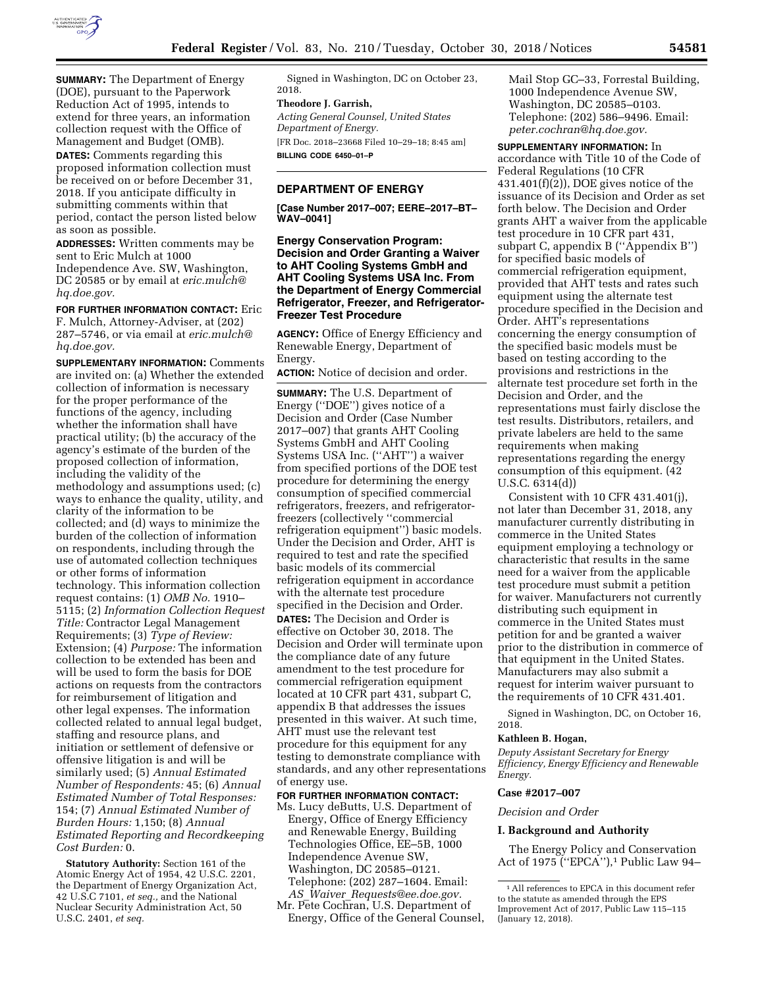

**SUMMARY:** The Department of Energy (DOE), pursuant to the Paperwork Reduction Act of 1995, intends to extend for three years, an information collection request with the Office of Management and Budget (OMB).

**DATES:** Comments regarding this proposed information collection must be received on or before December 31, 2018. If you anticipate difficulty in submitting comments within that period, contact the person listed below as soon as possible.

**ADDRESSES:** Written comments may be sent to Eric Mulch at 1000 Independence Ave. SW, Washington, DC 20585 or by email at *[eric.mulch@](mailto:eric.mulch@hq.doe.gov) [hq.doe.gov.](mailto:eric.mulch@hq.doe.gov)* 

**FOR FURTHER INFORMATION CONTACT:** Eric F. Mulch, Attorney-Adviser, at (202) 287–5746, or via email at *[eric.mulch@](mailto:eric.mulch@hq.doe.gov) [hq.doe.gov.](mailto:eric.mulch@hq.doe.gov)* 

**SUPPLEMENTARY INFORMATION:** Comments are invited on: (a) Whether the extended collection of information is necessary for the proper performance of the functions of the agency, including whether the information shall have practical utility; (b) the accuracy of the agency's estimate of the burden of the proposed collection of information, including the validity of the methodology and assumptions used; (c) ways to enhance the quality, utility, and clarity of the information to be collected; and (d) ways to minimize the burden of the collection of information on respondents, including through the use of automated collection techniques or other forms of information technology. This information collection request contains: (1) *OMB No.* 1910– 5115; (2) *Information Collection Request Title:* Contractor Legal Management Requirements; (3) *Type of Review:*  Extension; (4) *Purpose:* The information collection to be extended has been and will be used to form the basis for DOE actions on requests from the contractors for reimbursement of litigation and other legal expenses. The information collected related to annual legal budget, staffing and resource plans, and initiation or settlement of defensive or offensive litigation is and will be similarly used; (5) *Annual Estimated Number of Respondents:* 45; (6) *Annual Estimated Number of Total Responses:*  154; (7) *Annual Estimated Number of Burden Hours:* 1,150; (8) *Annual Estimated Reporting and Recordkeeping Cost Burden:* 0.

**Statutory Authority:** Section 161 of the Atomic Energy Act of 1954, 42 U.S.C. 2201, the Department of Energy Organization Act, 42 U.S.C 7101, *et seq.,* and the National Nuclear Security Administration Act, 50 U.S.C. 2401, *et seq.* 

Signed in Washington, DC on October 23, 2018.

### **Theodore J. Garrish,**

*Acting General Counsel, United States Department of Energy.*  [FR Doc. 2018–23668 Filed 10–29–18; 8:45 am] **BILLING CODE 6450–01–P** 

# **DEPARTMENT OF ENERGY**

**[Case Number 2017–007; EERE–2017–BT– WAV–0041]** 

**Energy Conservation Program: Decision and Order Granting a Waiver to AHT Cooling Systems GmbH and AHT Cooling Systems USA Inc. From the Department of Energy Commercial Refrigerator, Freezer, and Refrigerator-Freezer Test Procedure** 

**AGENCY:** Office of Energy Efficiency and Renewable Energy, Department of Energy.

**ACTION:** Notice of decision and order.

**SUMMARY:** The U.S. Department of Energy (''DOE'') gives notice of a Decision and Order (Case Number 2017–007) that grants AHT Cooling Systems GmbH and AHT Cooling Systems USA Inc. (''AHT'') a waiver from specified portions of the DOE test procedure for determining the energy consumption of specified commercial refrigerators, freezers, and refrigeratorfreezers (collectively ''commercial refrigeration equipment'') basic models. Under the Decision and Order, AHT is required to test and rate the specified basic models of its commercial refrigeration equipment in accordance with the alternate test procedure specified in the Decision and Order. **DATES:** The Decision and Order is effective on October 30, 2018. The Decision and Order will terminate upon the compliance date of any future amendment to the test procedure for commercial refrigeration equipment located at 10 CFR part 431, subpart C, appendix B that addresses the issues presented in this waiver. At such time, AHT must use the relevant test procedure for this equipment for any testing to demonstrate compliance with standards, and any other representations of energy use.

# **FOR FURTHER INFORMATION CONTACT:**

Ms. Lucy deButts, U.S. Department of Energy, Office of Energy Efficiency and Renewable Energy, Building Technologies Office, EE–5B, 1000 Independence Avenue SW, Washington, DC 20585–0121. Telephone: (202) 287–1604. Email: *AS*\_*Waiver*\_*[Requests@ee.doe.gov.](mailto:AS_Waiver_Requests@ee.doe.gov)* 

Mr. Pete Cochran, U.S. Department of Energy, Office of the General Counsel, Mail Stop GC–33, Forrestal Building, 1000 Independence Avenue SW, Washington, DC 20585–0103. Telephone: (202) 586–9496. Email: *[peter.cochran@hq.doe.gov.](mailto:peter.cochran@hq.doe.gov)* 

### **SUPPLEMENTARY INFORMATION:** In

accordance with Title 10 of the Code of Federal Regulations (10 CFR  $431.401(f)(2)$ ), DOE gives notice of the issuance of its Decision and Order as set forth below. The Decision and Order grants AHT a waiver from the applicable test procedure in 10 CFR part 431, subpart C, appendix B (''Appendix B'') for specified basic models of commercial refrigeration equipment, provided that AHT tests and rates such equipment using the alternate test procedure specified in the Decision and Order. AHT's representations concerning the energy consumption of the specified basic models must be based on testing according to the provisions and restrictions in the alternate test procedure set forth in the Decision and Order, and the representations must fairly disclose the test results. Distributors, retailers, and private labelers are held to the same requirements when making representations regarding the energy consumption of this equipment. (42 U.S.C. 6314(d))

Consistent with 10 CFR 431.401(j), not later than December 31, 2018, any manufacturer currently distributing in commerce in the United States equipment employing a technology or characteristic that results in the same need for a waiver from the applicable test procedure must submit a petition for waiver. Manufacturers not currently distributing such equipment in commerce in the United States must petition for and be granted a waiver prior to the distribution in commerce of that equipment in the United States. Manufacturers may also submit a request for interim waiver pursuant to the requirements of 10 CFR 431.401.

Signed in Washington, DC, on October 16, 2018.

### **Kathleen B. Hogan,**

*Deputy Assistant Secretary for Energy Efficiency, Energy Efficiency and Renewable Energy.* 

### **Case #2017–007**

### *Decision and Order*

### **I. Background and Authority**

The Energy Policy and Conservation Act of 1975 ("EPCA"),<sup>1</sup> Public Law 94-

<sup>1</sup>All references to EPCA in this document refer to the statute as amended through the EPS Improvement Act of 2017, Public Law 115–115 (January 12, 2018).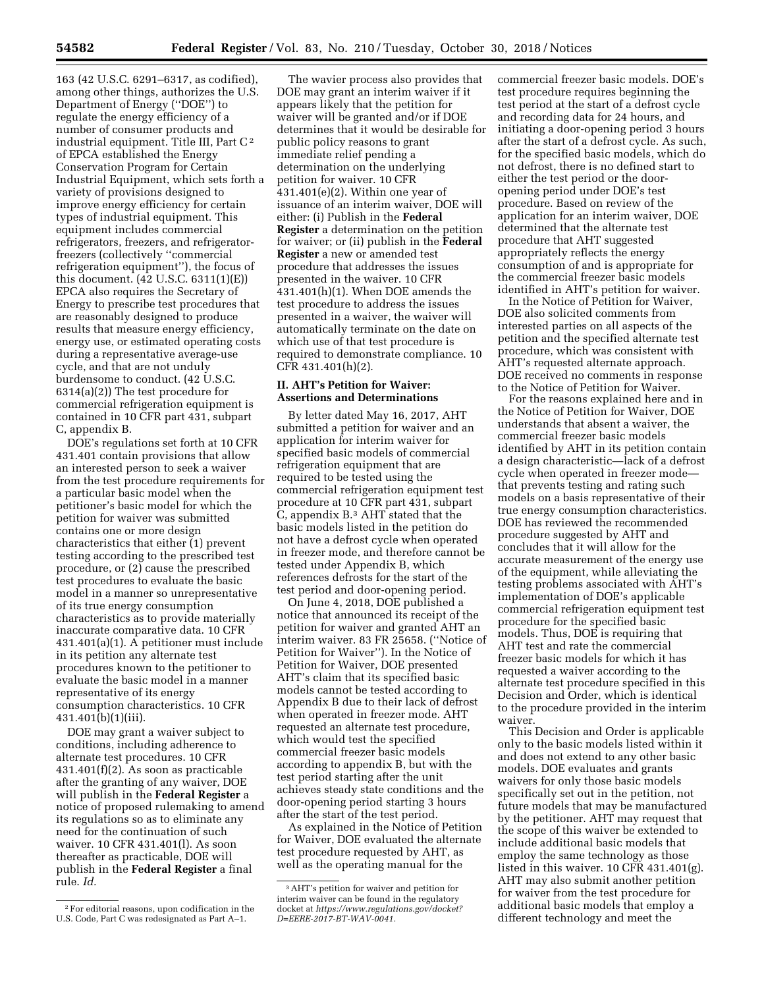163 (42 U.S.C. 6291–6317, as codified), among other things, authorizes the U.S. Department of Energy (''DOE'') to regulate the energy efficiency of a number of consumer products and industrial equipment. Title III, Part C<sup>2</sup> of EPCA established the Energy Conservation Program for Certain Industrial Equipment, which sets forth a variety of provisions designed to improve energy efficiency for certain types of industrial equipment. This equipment includes commercial refrigerators, freezers, and refrigeratorfreezers (collectively ''commercial refrigeration equipment''), the focus of this document. (42 U.S.C. 6311(1)(E)) EPCA also requires the Secretary of Energy to prescribe test procedures that are reasonably designed to produce results that measure energy efficiency, energy use, or estimated operating costs during a representative average-use cycle, and that are not unduly burdensome to conduct. (42 U.S.C. 6314(a)(2)) The test procedure for commercial refrigeration equipment is contained in 10 CFR part 431, subpart C, appendix B.

DOE's regulations set forth at 10 CFR 431.401 contain provisions that allow an interested person to seek a waiver from the test procedure requirements for a particular basic model when the petitioner's basic model for which the petition for waiver was submitted contains one or more design characteristics that either (1) prevent testing according to the prescribed test procedure, or (2) cause the prescribed test procedures to evaluate the basic model in a manner so unrepresentative of its true energy consumption characteristics as to provide materially inaccurate comparative data. 10 CFR 431.401(a)(1). A petitioner must include in its petition any alternate test procedures known to the petitioner to evaluate the basic model in a manner representative of its energy consumption characteristics. 10 CFR 431.401(b)(1)(iii).

DOE may grant a waiver subject to conditions, including adherence to alternate test procedures. 10 CFR 431.401(f)(2). As soon as practicable after the granting of any waiver, DOE will publish in the **Federal Register** a notice of proposed rulemaking to amend its regulations so as to eliminate any need for the continuation of such waiver. 10 CFR 431.401(l). As soon thereafter as practicable, DOE will publish in the **Federal Register** a final rule. *Id.* 

The wavier process also provides that DOE may grant an interim waiver if it appears likely that the petition for waiver will be granted and/or if DOE determines that it would be desirable for public policy reasons to grant immediate relief pending a determination on the underlying petition for waiver. 10 CFR 431.401(e)(2). Within one year of issuance of an interim waiver, DOE will either: (i) Publish in the **Federal Register** a determination on the petition for waiver; or (ii) publish in the **Federal Register** a new or amended test procedure that addresses the issues presented in the waiver. 10 CFR 431.401(h)(1). When DOE amends the test procedure to address the issues presented in a waiver, the waiver will automatically terminate on the date on which use of that test procedure is required to demonstrate compliance. 10 CFR 431.401(h)(2).

## **II. AHT's Petition for Waiver: Assertions and Determinations**

By letter dated May 16, 2017, AHT submitted a petition for waiver and an application for interim waiver for specified basic models of commercial refrigeration equipment that are required to be tested using the commercial refrigeration equipment test procedure at 10 CFR part 431, subpart C, appendix B.3 AHT stated that the basic models listed in the petition do not have a defrost cycle when operated in freezer mode, and therefore cannot be tested under Appendix B, which references defrosts for the start of the test period and door-opening period.

On June 4, 2018, DOE published a notice that announced its receipt of the petition for waiver and granted AHT an interim waiver. 83 FR 25658. (''Notice of Petition for Waiver''). In the Notice of Petition for Waiver, DOE presented AHT's claim that its specified basic models cannot be tested according to Appendix B due to their lack of defrost when operated in freezer mode. AHT requested an alternate test procedure, which would test the specified commercial freezer basic models according to appendix B, but with the test period starting after the unit achieves steady state conditions and the door-opening period starting 3 hours after the start of the test period.

As explained in the Notice of Petition for Waiver, DOE evaluated the alternate test procedure requested by AHT, as well as the operating manual for the

commercial freezer basic models. DOE's test procedure requires beginning the test period at the start of a defrost cycle and recording data for 24 hours, and initiating a door-opening period 3 hours after the start of a defrost cycle. As such, for the specified basic models, which do not defrost, there is no defined start to either the test period or the dooropening period under DOE's test procedure. Based on review of the application for an interim waiver, DOE determined that the alternate test procedure that AHT suggested appropriately reflects the energy consumption of and is appropriate for the commercial freezer basic models identified in AHT's petition for waiver.

In the Notice of Petition for Waiver, DOE also solicited comments from interested parties on all aspects of the petition and the specified alternate test procedure, which was consistent with AHT's requested alternate approach. DOE received no comments in response to the Notice of Petition for Waiver.

For the reasons explained here and in the Notice of Petition for Waiver, DOE understands that absent a waiver, the commercial freezer basic models identified by AHT in its petition contain a design characteristic—lack of a defrost cycle when operated in freezer mode that prevents testing and rating such models on a basis representative of their true energy consumption characteristics. DOE has reviewed the recommended procedure suggested by AHT and concludes that it will allow for the accurate measurement of the energy use of the equipment, while alleviating the testing problems associated with AHT's implementation of DOE's applicable commercial refrigeration equipment test procedure for the specified basic models. Thus, DOE is requiring that AHT test and rate the commercial freezer basic models for which it has requested a waiver according to the alternate test procedure specified in this Decision and Order, which is identical to the procedure provided in the interim waiver.

This Decision and Order is applicable only to the basic models listed within it and does not extend to any other basic models. DOE evaluates and grants waivers for only those basic models specifically set out in the petition, not future models that may be manufactured by the petitioner. AHT may request that the scope of this waiver be extended to include additional basic models that employ the same technology as those listed in this waiver. 10 CFR 431.401(g). AHT may also submit another petition for waiver from the test procedure for additional basic models that employ a different technology and meet the

<sup>2</sup>For editorial reasons, upon codification in the U.S. Code, Part C was redesignated as Part A–1.

<sup>3</sup>AHT's petition for waiver and petition for interim waiver can be found in the regulatory docket at *[https://www.regulations.gov/docket?](https://www.regulations.gov/docket?D=EERE-2017-BT-WAV-0041) [D=EERE-2017-BT-WAV-0041.](https://www.regulations.gov/docket?D=EERE-2017-BT-WAV-0041)*